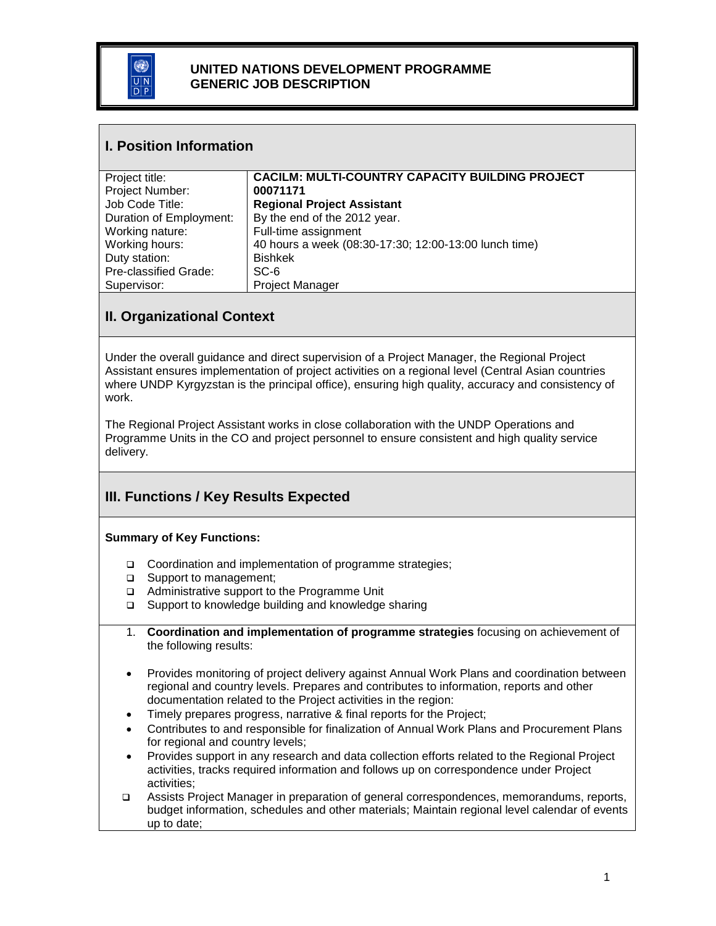

#### **UNITED NATIONS DEVELOPMENT PROGRAMME GENERIC JOB DESCRIPTION**

#### **I. Position Information**

| Project title:          | <b>CACILM: MULTI-COUNTRY CAPACITY BUILDING PROJECT</b> |
|-------------------------|--------------------------------------------------------|
| Project Number:         | 00071171                                               |
| Job Code Title:         | <b>Regional Project Assistant</b>                      |
| Duration of Employment: | By the end of the 2012 year.                           |
| Working nature:         | Full-time assignment                                   |
| Working hours:          | 40 hours a week (08:30-17:30; 12:00-13:00 lunch time)  |
| Duty station:           | <b>Bishkek</b>                                         |
| Pre-classified Grade:   | SC-6                                                   |
| Supervisor:             | <b>Project Manager</b>                                 |

## **II. Organizational Context**

Under the overall guidance and direct supervision of a Project Manager, the Regional Project Assistant ensures implementation of project activities on a regional level (Central Asian countries where UNDP Kyrgyzstan is the principal office), ensuring high quality, accuracy and consistency of work.

The Regional Project Assistant works in close collaboration with the UNDP Operations and Programme Units in the CO and project personnel to ensure consistent and high quality service delivery.

## **III. Functions / Key Results Expected**

#### **Summary of Key Functions:**

- □ Coordination and implementation of programme strategies;
- □ Support to management;
- □ Administrative support to the Programme Unit
- $\square$  Support to knowledge building and knowledge sharing
- 1. **Coordination and implementation of programme strategies** focusing on achievement of the following results:
- Provides monitoring of project delivery against Annual Work Plans and coordination between regional and country levels. Prepares and contributes to information, reports and other documentation related to the Project activities in the region:
- Timely prepares progress, narrative & final reports for the Project;
- Contributes to and responsible for finalization of Annual Work Plans and Procurement Plans for regional and country levels;
- Provides support in any research and data collection efforts related to the Regional Project activities, tracks required information and follows up on correspondence under Project activities;
- Assists Project Manager in preparation of general correspondences, memorandums, reports, budget information, schedules and other materials; Maintain regional level calendar of events up to date;